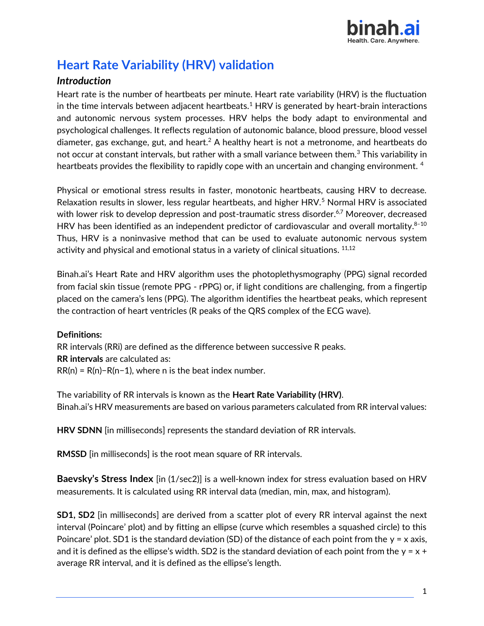

# **Heart Rate Variability (HRV) validation**

# *Introduction*

Heart rate is the number of heartbeats per minute. Heart rate variability (HRV) is the fluctuation in the time intervals between adjacent heartbeats.<sup>1</sup> HRV is generated by heart-brain interactions and autonomic nervous system processes. HRV helps the body adapt to environmental and psychological challenges. It reflects regulation of autonomic balance, blood pressure, blood vessel diameter, gas exchange, gut, and heart.<sup>2</sup> A healthy heart is not a metronome, and heartbeats do not occur at constant intervals, but rather with a small variance between them.<sup>3</sup> This variability in heartbeats provides the flexibility to rapidly cope with an uncertain and changing environment. <sup>4</sup>

Physical or emotional stress results in faster, monotonic heartbeats, causing HRV to decrease. Relaxation results in slower, less regular heartbeats, and higher HRV.<sup>5</sup> Normal HRV is associated with lower risk to develop depression and post-traumatic stress disorder.<sup>6,7</sup> Moreover, decreased HRV has been identified as an independent predictor of cardiovascular and overall mortality. $8-10$ Thus, HRV is a noninvasive method that can be used to evaluate autonomic nervous system activity and physical and emotional status in a variety of clinical situations.  $^{\rm 11,12}$ 

Binah.ai's Heart Rate and HRV algorithm uses the photoplethysmography (PPG) signal recorded from facial skin tissue (remote PPG - rPPG) or, if light conditions are challenging, from a fingertip placed on the camera's lens (PPG). The algorithm identifies the heartbeat peaks, which represent the contraction of heart ventricles (R peaks of the QRS complex of the ECG wave).

# **Definitions:**

RR intervals (RRi) are defined as the difference between successive R peaks. **RR intervals** are calculated as:  $RR(n) = R(n)-R(n-1)$ , where n is the beat index number.

The variability of RR intervals is known as the **Heart Rate Variability (HRV)**. Binah.ai's HRV measurements are based on various parameters calculated from RR interval values:

**HRV SDNN** [in milliseconds] represents the standard deviation of RR intervals.

**RMSSD** [in milliseconds] is the root mean square of RR intervals.

**Baevsky's Stress Index** [in (1/sec2)] is a well-known index for stress evaluation based on HRV measurements. It is calculated using RR interval data (median, min, max, and histogram).

**SD1, SD2** [in milliseconds] are derived from a scatter plot of every RR interval against the next interval (Poincare' plot) and by fitting an ellipse (curve which resembles a squashed circle) to this Poincare' plot. SD1 is the standard deviation (SD) of the distance of each point from the  $y = x$  axis, and it is defined as the ellipse's width. SD2 is the standard deviation of each point from the  $y = x +$ average RR interval, and it is defined as the ellipse's length.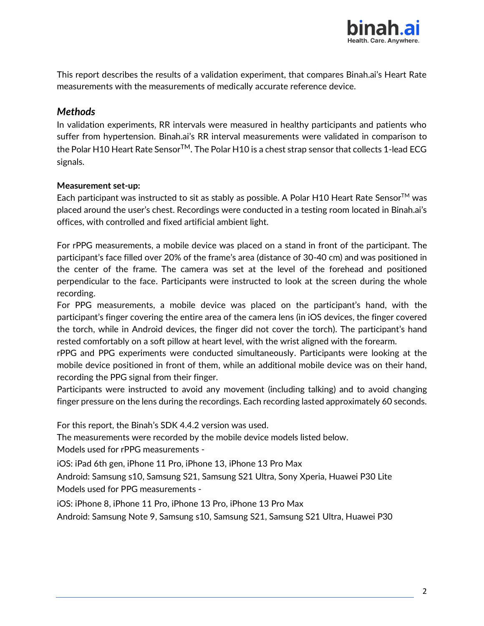

This report describes the results of a validation experiment, that compares Binah.ai's Heart Rate measurements with the measurements of medically accurate reference device.

# *Methods*

In validation experiments, RR intervals were measured in healthy participants and patients who suffer from hypertension. Binah.ai's RR interval measurements were validated in comparison to the Polar H10 Heart Rate Sensor<sup>TM</sup>. The Polar H10 is a chest strap sensor that collects 1-lead ECG signals.

### **Measurement set-up:**

Each participant was instructed to sit as stably as possible. A Polar H10 Heart Rate Sensor<sup>TM</sup> was placed around the user's chest. Recordings were conducted in a testing room located in Binah.ai's offices, with controlled and fixed artificial ambient light.

For rPPG measurements, a mobile device was placed on a stand in front of the participant. The participant's face filled over 20% of the frame's area (distance of 30-40 cm) and was positioned in the center of the frame. The camera was set at the level of the forehead and positioned perpendicular to the face. Participants were instructed to look at the screen during the whole recording.

For PPG measurements, a mobile device was placed on the participant's hand, with the participant's finger covering the entire area of the camera lens (in iOS devices, the finger covered the torch, while in Android devices, the finger did not cover the torch). The participant's hand rested comfortably on a soft pillow at heart level, with the wrist aligned with the forearm.

rPPG and PPG experiments were conducted simultaneously. Participants were looking at the mobile device positioned in front of them, while an additional mobile device was on their hand, recording the PPG signal from their finger.

Participants were instructed to avoid any movement (including talking) and to avoid changing finger pressure on the lens during the recordings. Each recording lasted approximately 60 seconds.

For this report, the Binah's SDK 4.4.2 version was used.

The measurements were recorded by the mobile device models listed below. Models used for rPPG measurements -

iOS: iPad 6th gen, iPhone 11 Pro, iPhone 13, iPhone 13 Pro Max

Android: Samsung s10, Samsung S21, Samsung S21 Ultra, Sony Xperia, Huawei P30 Lite Models used for PPG measurements -

iOS: iPhone 8, iPhone 11 Pro, iPhone 13 Pro, iPhone 13 Pro Max

Android: Samsung Note 9, Samsung s10, Samsung S21, Samsung S21 Ultra, Huawei P30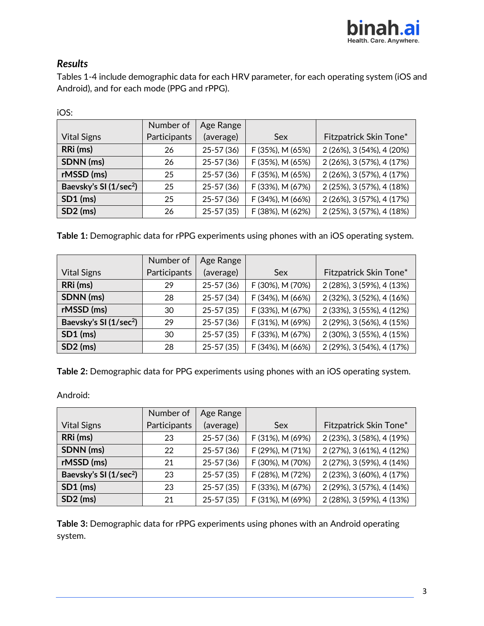

# *Results*

Tables 1-4 include demographic data for each HRV parameter, for each operating system (iOS and Android), and for each mode (PPG and rPPG).

| iOS:                               |              |             |                  |                           |
|------------------------------------|--------------|-------------|------------------|---------------------------|
|                                    | Number of    | Age Range   |                  |                           |
| <b>Vital Signs</b>                 | Participants | (average)   | Sex              | Fitzpatrick Skin Tone*    |
| RRi (ms)                           | 26           | 25-57 (36)  | F (35%), M (65%) | 2 (26%), 3 (54%), 4 (20%) |
| SDNN (ms)                          | 26           | 25-57 (36)  | F (35%), M (65%) | 2 (26%), 3 (57%), 4 (17%) |
| rMSSD (ms)                         | 25           | $25-57(36)$ | F (35%), M (65%) | 2 (26%), 3 (57%), 4 (17%) |
| Baevsky's SI (1/sec <sup>2</sup> ) | 25           | 25-57 (36)  | F (33%), M (67%) | 2 (25%), 3 (57%), 4 (18%) |
| $SD1$ (ms)                         | 25           | 25-57 (36)  | F (34%), M (66%) | 2 (26%), 3 (57%), 4 (17%) |
| $SD2$ (ms)                         | 26           | $25-57(35)$ | F (38%), M (62%) | 2 (25%), 3 (57%), 4 (18%) |

**Table 1:** Demographic data for rPPG experiments using phones with an iOS operating system.

|                                    | Number of    | Age Range   |                  |                           |
|------------------------------------|--------------|-------------|------------------|---------------------------|
| <b>Vital Signs</b>                 | Participants | (average)   | Sex              | Fitzpatrick Skin Tone*    |
| RRi (ms)                           | 29           | 25-57 (36)  | F (30%), M (70%) | 2 (28%), 3 (59%), 4 (13%) |
| SDNN (ms)                          | 28           | 25-57 (34)  | F (34%), M (66%) | 2 (32%), 3 (52%), 4 (16%) |
| rMSSD (ms)                         | 30           | $25-57(35)$ | F (33%), M (67%) | 2 (33%), 3 (55%), 4 (12%) |
| Baevsky's SI (1/sec <sup>2</sup> ) | 29           | $25-57(36)$ | F (31%), M (69%) | 2 (29%), 3 (56%), 4 (15%) |
| $SD1$ (ms)                         | 30           | $25-57(35)$ | F (33%), M (67%) | 2 (30%), 3 (55%), 4 (15%) |
| $SD2$ (ms)                         | 28           | $25-57(35)$ | F (34%), M (66%) | 2 (29%), 3 (54%), 4 (17%) |

**Table 2:** Demographic data for PPG experiments using phones with an iOS operating system.

Android:

|                                    | Number of    | Age Range     |                  |                           |
|------------------------------------|--------------|---------------|------------------|---------------------------|
| <b>Vital Signs</b>                 | Participants | (average)     | Sex              | Fitzpatrick Skin Tone*    |
| RRi(ms)                            | 23           | 25-57 (36)    | F (31%), M (69%) | 2 (23%), 3 (58%), 4 (19%) |
| SDNN (ms)                          | 22           | $25-57(36)$   | F (29%), M (71%) | 2 (27%), 3 (61%), 4 (12%) |
| rMSSD (ms)                         | 21           | $25 - 57(36)$ | F (30%), M (70%) | 2 (27%), 3 (59%), 4 (14%) |
| Baevsky's SI (1/sec <sup>2</sup> ) | 23           | $25-57(35)$   | F (28%), M (72%) | 2 (23%), 3 (60%), 4 (17%) |
| $SD1$ (ms)                         | 23           | $25-57(35)$   | F (33%), M (67%) | 2 (29%), 3 (57%), 4 (14%) |
| $SD2$ (ms)                         | 21           | $25-57(35)$   | F (31%), M (69%) | 2 (28%), 3 (59%), 4 (13%) |

**Table 3:** Demographic data for rPPG experiments using phones with an Android operating system.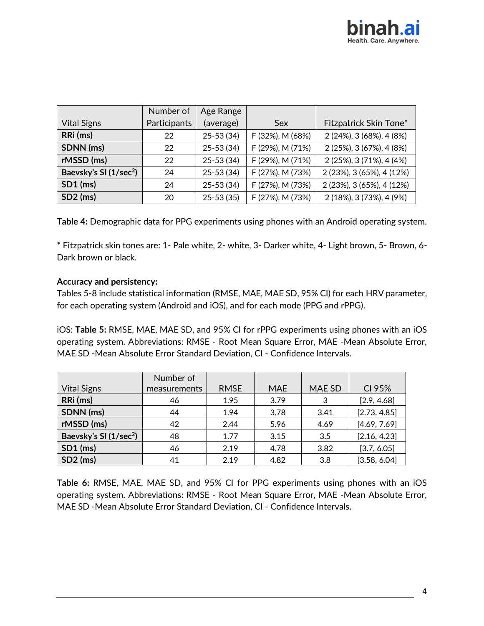|                                    | Number of    | Age Range     |                  |                           |
|------------------------------------|--------------|---------------|------------------|---------------------------|
| <b>Vital Signs</b>                 | Participants | (average)     | Sex              | Fitzpatrick Skin Tone*    |
| RRi (ms)                           | 22           | 25-53 (34)    | F (32%), M (68%) | 2 (24%), 3 (68%), 4 (8%)  |
| SDNN (ms)                          | 22           | 25-53 (34)    | F (29%), M (71%) | 2 (25%), 3 (67%), 4 (8%)  |
| rMSSD (ms)                         | 22           | $25 - 53(34)$ | F (29%), M (71%) | 2 (25%), 3 (71%), 4 (4%)  |
| Baevsky's SI (1/sec <sup>2</sup> ) | 24           | 25-53 (34)    | F (27%), M (73%) | 2 (23%), 3 (65%), 4 (12%) |
| $SD1$ (ms)                         | 24           | $25 - 53(34)$ | F (27%), M (73%) | 2 (23%), 3 (65%), 4 (12%) |
| $SD2$ (ms)                         | 20           | $25 - 53(35)$ | F (27%), M (73%) | 2 (18%), 3 (73%), 4 (9%)  |

**Table 4:** Demographic data for PPG experiments using phones with an Android operating system.

\* Fitzpatrick skin tones are: 1- Pale white, 2- white, 3- Darker white, 4- Light brown, 5- Brown, 6- Dark brown or black.

### **Accuracy and persistency:**

Tables 5-8 include statistical information (RMSE, MAE, MAE SD, 95% CI) for each HRV parameter, for each operating system (Android and iOS), and for each mode (PPG and rPPG).

iOS: **Table 5:** RMSE, MAE, MAE SD, and 95% CI for rPPG experiments using phones with an iOS operating system. Abbreviations: RMSE - Root Mean Square Error, MAE -Mean Absolute Error, MAE SD -Mean Absolute Error Standard Deviation, CI - Confidence Intervals.

|                                    | Number of    |             |            |        |              |
|------------------------------------|--------------|-------------|------------|--------|--------------|
| <b>Vital Signs</b>                 | measurements | <b>RMSE</b> | <b>MAE</b> | MAE SD | CI 95%       |
| RRi (ms)                           | 46           | 1.95        | 3.79       | 3      | [2.9, 4.68]  |
| SDNN (ms)                          | 44           | 1.94        | 3.78       | 3.41   | [2.73, 4.85] |
| rMSSD (ms)                         | 42           | 2.44        | 5.96       | 4.69   | [4.69, 7.69] |
| Baevsky's SI (1/sec <sup>2</sup> ) | 48           | 1.77        | 3.15       | 3.5    | [2.16, 4.23] |
| $SD1$ (ms)                         | 46           | 2.19        | 4.78       | 3.82   | [3.7, 6.05]  |
| $SD2$ (ms)                         | 41           | 2.19        | 4.82       | 3.8    | [3.58, 6.04] |

**Table 6:** RMSE, MAE, MAE SD, and 95% CI for PPG experiments using phones with an iOS operating system. Abbreviations: RMSE - Root Mean Square Error, MAE -Mean Absolute Error, MAE SD -Mean Absolute Error Standard Deviation, CI - Confidence Intervals.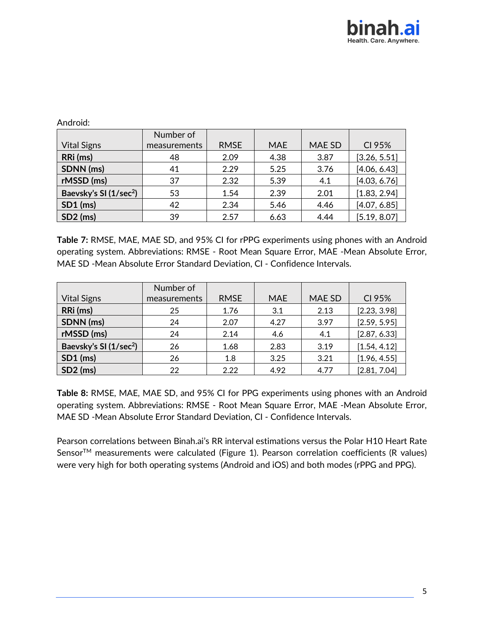| Anarola:                           |              |             |            |        |              |
|------------------------------------|--------------|-------------|------------|--------|--------------|
|                                    | Number of    |             |            |        |              |
| <b>Vital Signs</b>                 | measurements | <b>RMSE</b> | <b>MAE</b> | MAE SD | CI 95%       |
| RRi (ms)                           | 48           | 2.09        | 4.38       | 3.87   | [3.26, 5.51] |
| SDNN (ms)                          | 41           | 2.29        | 5.25       | 3.76   | [4.06, 6.43] |
| rMSSD (ms)                         | 37           | 2.32        | 5.39       | 4.1    | [4.03, 6.76] |
| Baevsky's SI (1/sec <sup>2</sup> ) | 53           | 1.54        | 2.39       | 2.01   | [1.83, 2.94] |
| $SD1$ (ms)                         | 42           | 2.34        | 5.46       | 4.46   | [4.07, 6.85] |
| $SD2$ (ms)                         | 39           | 2.57        | 6.63       | 4.44   | [5.19, 8.07] |

Android:

**Table 7:** RMSE, MAE, MAE SD, and 95% CI for rPPG experiments using phones with an Android operating system. Abbreviations: RMSE - Root Mean Square Error, MAE -Mean Absolute Error, MAE SD -Mean Absolute Error Standard Deviation, CI - Confidence Intervals.

|                                    | Number of    |             |            |        |              |
|------------------------------------|--------------|-------------|------------|--------|--------------|
| <b>Vital Signs</b>                 | measurements | <b>RMSE</b> | <b>MAE</b> | MAE SD | CI 95%       |
| RRi (ms)                           | 25           | 1.76        | 3.1        | 2.13   | [2.23, 3.98] |
| SDNN (ms)                          | 24           | 2.07        | 4.27       | 3.97   | [2.59, 5.95] |
| rMSSD (ms)                         | 24           | 2.14        | 4.6        | 4.1    | [2.87, 6.33] |
| Baevsky's SI (1/sec <sup>2</sup> ) | 26           | 1.68        | 2.83       | 3.19   | [1.54, 4.12] |
| $SD1$ (ms)                         | 26           | 1.8         | 3.25       | 3.21   | [1.96, 4.55] |
| $SD2$ (ms)                         | 22           | 2.22        | 4.92       | 4.77   | [2.81, 7.04] |

**Table 8:** RMSE, MAE, MAE SD, and 95% CI for PPG experiments using phones with an Android operating system. Abbreviations: RMSE - Root Mean Square Error, MAE -Mean Absolute Error, MAE SD -Mean Absolute Error Standard Deviation, CI - Confidence Intervals.

Pearson correlations between Binah.ai's RR interval estimations versus the Polar H10 Heart Rate Sensor<sup>TM</sup> measurements were calculated (Figure 1). Pearson correlation coefficients (R values) were very high for both operating systems (Android and iOS) and both modes (rPPG and PPG).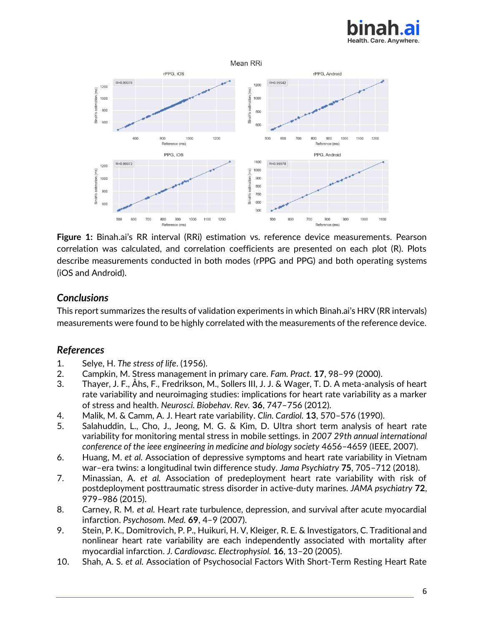

#### Mean RRi



**Figure 1:** Binah.ai's RR interval (RRi) estimation vs. reference device measurements. Pearson correlation was calculated, and correlation coefficients are presented on each plot (R). Plots describe measurements conducted in both modes (rPPG and PPG) and both operating systems (iOS and Android).

# *Conclusions*

This report summarizes the results of validation experiments in which Binah.ai's HRV (RR intervals) measurements were found to be highly correlated with the measurements of the reference device.

# *References*

- 1. Selye, H. *The stress of life*. (1956).
- 2. Campkin, M. Stress management in primary care. *Fam. Pract.* **17**, 98–99 (2000).
- 3. Thayer, J. F., Åhs, F., Fredrikson, M., Sollers III, J. J. & Wager, T. D. A meta-analysis of heart rate variability and neuroimaging studies: implications for heart rate variability as a marker of stress and health. *Neurosci. Biobehav. Rev.* **36**, 747–756 (2012).
- 4. Malik, M. & Camm, A. J. Heart rate variability. *Clin. Cardiol.* **13**, 570–576 (1990).
- 5. Salahuddin, L., Cho, J., Jeong, M. G. & Kim, D. Ultra short term analysis of heart rate variability for monitoring mental stress in mobile settings. in *2007 29th annual international conference of the ieee engineering in medicine and biology society* 4656–4659 (IEEE, 2007).
- 6. Huang, M. *et al.* Association of depressive symptoms and heart rate variability in Vietnam war–era twins: a longitudinal twin difference study. *Jama Psychiatry* **75**, 705–712 (2018).
- 7. Minassian, A. *et al.* Association of predeployment heart rate variability with risk of postdeployment posttraumatic stress disorder in active-duty marines. *JAMA psychiatry* **72**, 979–986 (2015).
- 8. Carney, R. M. *et al.* Heart rate turbulence, depression, and survival after acute myocardial infarction. *Psychosom. Med.* **69**, 4–9 (2007).
- 9. Stein, P. K., Domitrovich, P. P., Huikuri, H. V, Kleiger, R. E. & Investigators, C. Traditional and nonlinear heart rate variability are each independently associated with mortality after myocardial infarction. *J. Cardiovasc. Electrophysiol.* **16**, 13–20 (2005).
- 10. Shah, A. S. *et al.* Association of Psychosocial Factors With Short‐Term Resting Heart Rate